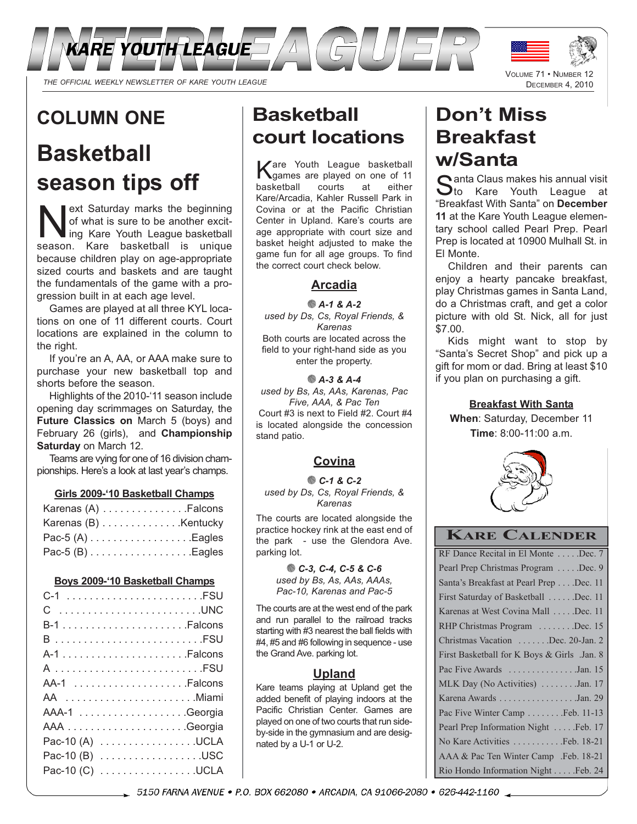

## **COLUMN ONE**

## **Basketball season tips off**

ext Saturday marks the beginning<br>of what is sure to be another excit-<br>ing Kare Posketball is unique of what is sure to be another excitseason. Kare basketball is unique because children play on age-appropriate sized courts and baskets and are taught the fundamentals of the game with a progression built in at each age level.

Games are played at all three KYL locations on one of 11 different courts. Court locations are explained in the column to the right.

If you're an A, AA, or AAA make sure to purchase your new basketball top and shorts before the season.

Highlights of the 2010-'11 season include opening day scrimmages on Saturday, the **Future Classics on** March 5 (boys) and February 26 (girls), and **Championship Saturday** on March 12.

Teams are vying for one of 16 division championships. Here's a look at last year's champs.

**Girls 2009-'10 Basketball Champs**

| Karenas (A) Falcons  |  |
|----------------------|--|
| Karenas (B) Kentucky |  |
| Pac-5 $(A)$ Eagles   |  |
| Pac-5 $(B)$ Eagles   |  |

#### **Boys 2009-'10 Basketball Champs**

| C UNC           |
|-----------------|
|                 |
| B FSU           |
|                 |
| A FSU           |
|                 |
| AA Miami        |
|                 |
|                 |
| Pac-10 (A) UCLA |
| Pac-10 (B) USC  |
| Pac-10 (C) UCLA |

## **Basketball court locations**

Kare Youth League basketball games are played on one of 11 basketball courts at either Kare/Arcadia, Kahler Russell Park in Covina or at the Pacific Christian Center in Upland. Kare's courts are age appropriate with court size and basket height adjusted to make the game fun for all age groups. To find the correct court check below.

#### **Arcadia**

*A-1 & A-2 used by Ds, Cs, Royal Friends, & Karenas*  Both courts are located across the field to your right-hand side as you

enter the property.

#### *A-3 & A-4*

*used by Bs, As, AAs, Karenas, Pac Five, AAA, & Pac Ten* Court #3 is next to Field #2. Court #4 is located alongside the concession stand patio.

### **Covina**

*C-1 & C-2 used by Ds, Cs, Royal Friends, & Karenas*

The courts are located alongside the practice hockey rink at the east end of the park - use the Glendora Ave. parking lot.

> *C-3, C-4, C-5 & C-6 used by Bs, As, AAs, AAAs, Pac-10, Karenas and Pac-5*

The courts are at the west end of the park and run parallel to the railroad tracks starting with #3 nearest the ball fields with #4, #5 and #6 following in sequence - use the Grand Ave. parking lot.

#### **Upland**

Kare teams playing at Upland get the added benefit of playing indoors at the Pacific Christian Center. Games are played on one of two courts that run sideby-side in the gymnasium and are designated by a U-1 or U-2.

# **Don't Miss Breakfast**

**w/Santa**<br>C anta Claus makes his annual visit Santa Claus makes his annual visit<br>
Sto Kare Youth League at "Breakfast With Santa" on **December 11** at the Kare Youth League elementary school called Pearl Prep. Pearl Prep is located at 10900 Mulhall St. in El Monte.

VOLUME 71 • NUMBER 12 DECEMBER 4, 2010

Children and their parents can enjoy a hearty pancake breakfast, play Christmas games in Santa Land, do a Christmas craft, and get a color picture with old St. Nick, all for just \$7.00.

Kids might want to stop by "Santa's Secret Shop" and pick up a gift for mom or dad. Bring at least \$10 if you plan on purchasing a gift.

**Breakfast With Santa When**: Saturday, December 11 **Time**: 8:00-11:00 a.m.



#### **KARE CALENDER**

| RF Dance Recital in El Monte  Dec. 7        |
|---------------------------------------------|
| Pearl Prep Christmas Program Dec. 9         |
| Santa's Breakfast at Pearl Prep Dec. 11     |
| First Saturday of Basketball Dec. 11        |
| Karenas at West Covina Mall Dec. 11         |
| RHP Christmas Program Dec. 15               |
| Christmas Vacation Dec. 20-Jan. 2           |
| First Basketball for K Boys & Girls .Jan. 8 |
| Pac Five Awards Jan. 15                     |
| MLK Day (No Activities) Jan. 17             |
| Karena Awards Jan. 29                       |
| Pac Five Winter Camp  Feb. 11-13            |
|                                             |
| No Kare Activities Feb. 18-21               |
| AAA & Pac Ten Winter Camp .Feb. 18-21       |
| Rio Hondo Information Night Feb. 24         |